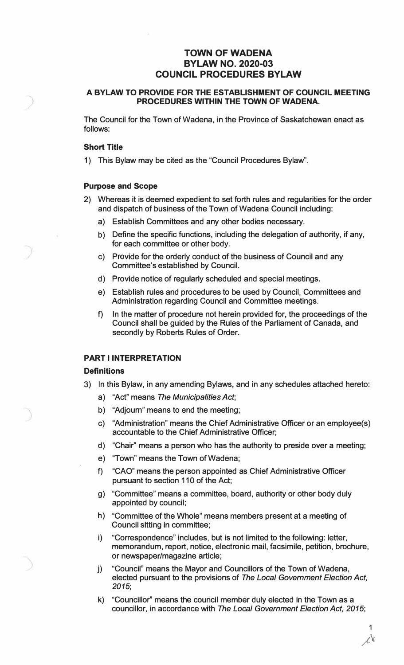# **TOWN OF WADENA BYLAW NO. 2020-03 COUNCIL PROCEDURES BYLAW**

### **A BYLAW TO PROVIDE FOR THE ESTABLISHMENT OF COUNCIL MEETING PROCEDURES WITHIN THE TOWN OF WADENA.**

The Council for the Town of Wadena, in the Province of Saskatchewan enact as follows:

### **Short Title**

1) This Bylaw may be cited as the "Council Procedures Bylaw".

### **Purpose and Scope**

- 2) Whereas it is deemed expedient to set forth rules and regularities for the order and dispatch of business of the Town of Wadena Council including:
	- a) Establish Committees and any other bodies necessary.
	- b) Define the specific functions, including the delegation of authority, if any, for each committee or other body.
	- c) Provide for the orderly conduct of the business of Council and any Committee's established by Council.
	- d) Provide notice of regularly scheduled and special meetings.
	- e) Establish rules and procedures to be used by Council, Committees and Administration regarding Council and Committee meetings.
	- f) In the matter of procedure not herein provided for, the proceedings of the Council shall be guided by the Rules of the Parliament of Canada, and secondly by Roberts Rules of Order.

### **PART I INTERPRETATION**

#### **Definitions**

- 3) In this Bylaw, in any amending Bylaws, and in any schedules attached hereto:
	- a) "Act" means *The Municipalities Act;*
	- b) "Adjourn" means to end the meeting;
	- c) "Administration" means the Chief Administrative Officer or an employee(s) accountable to the Chief Administrative Officer;
	- d) "Chair" means a person who has the authority to preside over a meeting;
	- e) "Town" means the Town of Wadena;
	- f) "CAO" means the person appointed as Chief Administrative Officer pursuant to section 110 of the Act;
	- g) "Committee" means a committee, board, authority or other body duly appointed by council;
	- h) "Committee of the Whole" means members present at a meeting of Council sitting in committee;
	- i) "Correspondence" includes, but is not limited to the following: letter, memorandum, report, notice, electronic mail, facsimile, petition, brochure, or newspaper/magazine article;
	- $i)$ ) "Council" means the Mayor and Councillors of the Town of Wadena, elected pursuant to the provisions of *The Local Government Election Act, 2015;*
	- k) "Councillor" means the council member duly elected in the Town as a councillor, in accordance with *The Local Government Election Act, 2015;*

1  $\chi$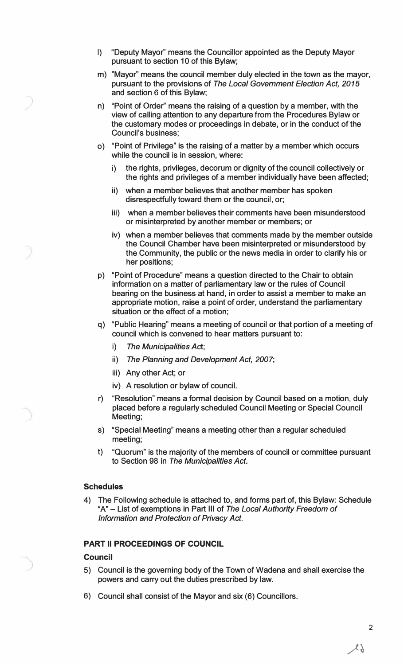- I) "Deputy Mayor" means the Councillor appointed as the Deputy Mayor pursuant to section 10 of this Bylaw;
- m) "Mayor'' means the council member duly elected in the town as the mayor, pursuant to the provisions of *The Local Government Election Act, 2015* and section 6 of this Bylaw;
- n) "Point of Order" means the raising of a question by a member, with the view of calling attention to any departure from the Procedures Bylaw or the customary modes or proceedings in debate, or in the conduct of the Council's business;
- o) "Point of Privilege" is the raising of a matter by a member which occurs while the council is in session, where:
	- i) the rights, privileges, decorum or dignity of the council collectively or the rights and privileges of a member individually have been affected;
	- ii) when a member believes that another member has spoken disrespectfully toward them or the council, or;
	- iii) when a member believes their comments have been misunderstood or misinterpreted by another member or members; or
	- iv) when a member believes that comments made by the member outside the Council Chamber have been misinterpreted or misunderstood by the Community, the public or the news media in order to clarify his or her positions;
- p) "Point of Procedure" means a question directed to the Chair to obtain information on a matter of parliamentary law or the rules of Council bearing on the business at hand, in order to assist a member to make an appropriate motion, raise a point of order, understand the parliamentary situation or the effect of a motion;
- q) "Public Hearing" means a meeting of council or that portion of a meeting of council which is convened to hear matters pursuant to:
	- **i)** *The Municipalities Act;*
	- ii) *The Planning and Development Act, 2007;*
	- iii) Any other Act; or
	- iv) A resolution or bylaw of council.
- r) "Resolution" means a formal decision by Council based on a motion, duly placed before a regularly scheduled Council Meeting or Special Council Meeting;
- s) "Special Meeting" means a meeting other than a regular scheduled meeting;
- t) "Quorum" is the majority of the members of council or committee pursuant to Section 98 in *The Municipalities Act.*

### **Schedules**

4) The Following schedule is attached to, and forms part of, this Bylaw: Schedule "A" - List of exemptions in Part 111 of *The Local Authority Freedom of Information and Protection of Privacy Act.*

### **PART II PROCEEDINGS OF COUNCIL**

# **Council**

- 5) Council is the governing body of the Town of Wadena and shall exercise the powers and carry out the duties prescribed by law.
- 6) Council shall consist of the Mayor and six (6) Councillors.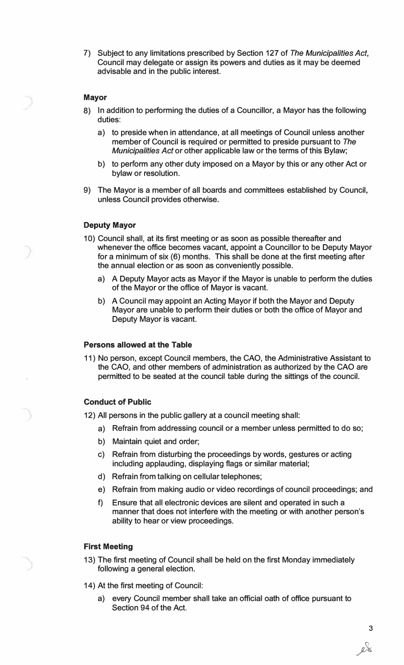7) Subject to any limitations prescribed by Section 127 of *The Municipalities Act,* Council may delegate or assign its powers and duties as it may be deemed advisable and in the public interest.

### **Mayor**

- 8) In addition to performing the duties of a Councillor, a Mayor has the following duties:
	- a) to preside when in attendance, at all meetings of Council unless another member of Council is required or permitted to preside pursuant to *The Municipalities Act* or other applicable law or the terms of this Bylaw;
	- b) to perform any other duty imposed on a Mayor by this or any other Act or bylaw or resolution.
- 9) The Mayor is a member of all boards and committees established by Council, unless Council provides otherwise.

### **Deputy Mayor**

- 10) Council shall, at its first meeting or as soon as possible thereafter and whenever the office becomes vacant, appoint a Councillor to be Deputy Mayor for a minimum of six (6) months. This shall be done at the first meeting after the annual election or as soon as conveniently possible.
	- a) A Deputy Mayor acts as Mayor if the Mayor is unable to perform the duties of the Mayor or the office of Mayor is vacant.
	- b) A Council may appoint an Acting Mayor if both the Mayor and Deputy Mayor are unable to perform their duties or both the office of Mayor and Deputy Mayor is vacant.

# **Persons allowed at the Table**

11) No person, except Council members, the CAO, the Administrative Assistant to the CAO, and other members of administration as authorized by the CAO are permitted to be seated at the council table during the sittings of the council.

### **Conduct of Public**

12) All persons in the public gallery at a council meeting shall:

- a) Refrain from addressing council or a member unless permitted to do so;
- b) Maintain quiet and order;
- c) Refrain from disturbing the proceedings by words, gestures or acting including applauding, displaying flags or similar material;
- d) Refrain from talking on cellular telephones;
- e) Refrain from making audio or video recordings of council proceedings; and
- f) Ensure that all electronic devices are silent and operated in such a manner that does not interfere with the meeting or with another person's ability to hear or view proceedings.

### **First Meeting**

- 13) The first meeting of Council shall be held on the first Monday immediately following a general election.
- 14) At the first meeting of Council:
	- a) every Council member shall take an official oath of office pursuant to Section 94 of the Act.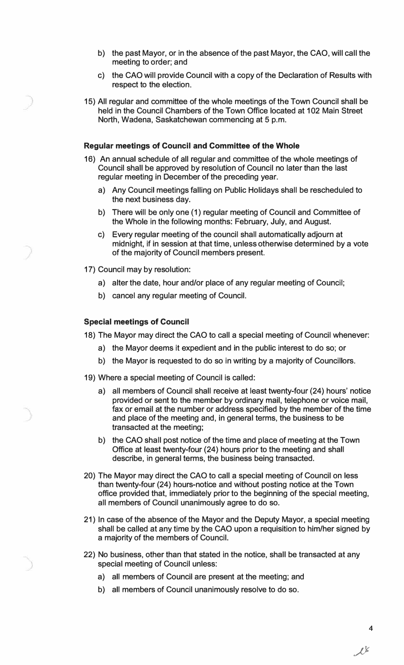- b) the past Mayor, or in the absence of the past Mayor, the CAO, will call the meeting to order; and
- c) the CAO will provide Council with a copy of the Declaration of Results with respect to the election.
- 15) All regular and committee of the whole meetings of the Town Council shall be held in the Council Chambers of the Town Office located at 102 Main Street North, Wadena, Saskatchewan commencing at 5 p.m.

#### **Regular meetings of Council and Committee of the Whole**

- 16) An annual schedule of all regular and committee of the whole meetings of Council shall be approved by resolution of Council no later than the last regular meeting in December of the preceding year.
	- a) Any Council meetings falling on Public Holidays shall be rescheduled to the next business day.
	- b) There will be only one (1) regular meeting of Council and Committee of the Whole in the following months: February, July, and August.
	- c) Every regular meeting of the council shall automatically adjourn at midnight, if in session at that time, unless otherwise determined by a vote of the majority of Council members present.
- 17) Council may by resolution:
	- a) alter the date, hour and/or place of any regular meeting of Council;
	- b) cancel any regular meeting of Council.

### **Special meetings of Council**

18) The Mayor may direct the CAO to call a special meeting of Council whenever:

- a) the Mayor deems it expedient and in the public interest to do so; or
- b) the Mayor is requested to do so in writing by a majority of Councillors.
- 19) Where a special meeting of Council is called:
	- a) all members of Council shall receive at least twenty-four (24) hours' notice provided or sent to the member by ordinary mail, telephone or voice mail, fax or email at the number or address specified by the member of the time and place of the meeting and, in general terms, the business to be transacted at the meeting;
	- b) the CAO shall post notice of the time and place of meeting at the Town Office at least twenty-four (24) hours prior to the meeting and shall describe, in general terms, the business being transacted.
- 20) The Mayor may direct the CAO to call a special meeting of Council on less than twenty-four (24) hours-notice and without posting notice at the Town office provided that, immediately prior to the beginning of the special meeting, all members of Council unanimously agree to do so.
- 21) In case of the absence of the Mayor and the Deputy Mayor, a special meeting shall be called at any time by the CAO upon a requisition to him/her signed by a majority of the members of Council.
- 22) No business, other than that stated in the notice, shall be transacted at any special meeting of Council unless:
	- a) all members of Council are present at the meeting; and
	- b) all members of Council unanimously resolve to do so.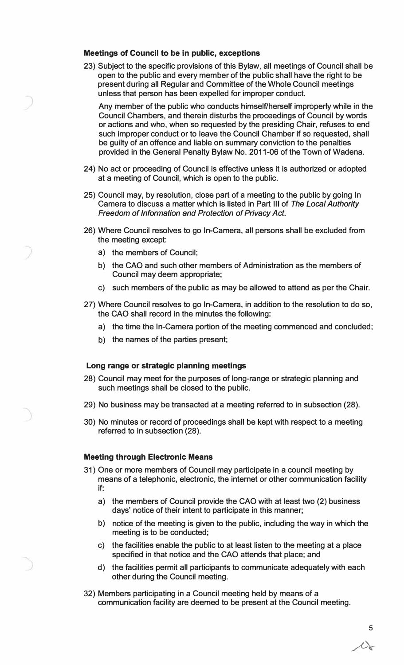#### **Meetings of Council to be in public, exceptions**

23) Subject to the specific provisions of this Bylaw, all meetings of Council shall be open to the public and every member of the public shall have the right to be present during all Regular and Committee of the Whole Council meetings unless that person has been expelled for improper conduct.

Any member of the public who conducts himself/herself improperly while in the Council Chambers, and therein disturbs the proceedings of Council by words or actions and who, when so requested by the presiding Chair, refuses to end such improper conduct or to leave the Council Chamber if so requested, shall be guilty of an offence and liable on summary conviction to the penalties provided in the General Penalty Bylaw No. 2011-06 of the Town of Wadena.

- 24) No act or proceeding of Council is effective unless it is authorized or adopted at a meeting of Council, which is open to the public.
- **25)** Council may, by resolution, close part of a meeting to the public by going In Camera to discuss a matter which is listed in Part Ill of *The Local Authority Freedom of Information and Protection of Privacy Act.*
- 26) Where Council resolves to go In-Camera, all persons shall be excluded from the meeting except:
	- a) the members of Council;
	- b) the CAO and such other members of Administration as the members of Council may deem appropriate;
	- c) such members of the public as may be allowed to attend as per the Chair.
- **27)** Where Council resolves to go In-Camera, in addition to the resolution to do so, the CAO shall record in the minutes the following:
	- a) the time the In-Camera portion of the meeting commenced and concluded;
	- b) the names of the parties present;

### **Long range or strategic planning meetings**

- **28)** Council may meet for the purposes of long-range or strategic planning and such meetings shall be closed to the public.
- **29)** No business may be transacted at a meeting referred to in subsection **(28).**
- 30) No minutes or record of proceedings shall be kept with respect to a meeting referred to in subsection **(28).**

#### **Meeting through Electronic Means**

- **31)** One or more members of Council may participate in a council meeting by means of a telephonic, electronic, the internet or other communication facility if:
	- a) the members of Council provide the CAO with at least two **(2)** business days' notice of their intent to participate in this manner;
	- b) notice of the meeting is given to the public, including the way in which the meeting is to be conducted;
	- c) the facilities enable the public to at least listen to the meeting at a place specified in that notice and the CAO attends that place; and
	- d) the facilities permit all participants to communicate adequately with each other during the Council meeting.
- 32) Members participating in a Council meeting held by means of a communication facility are deemed to be present at the Council meeting.

**5**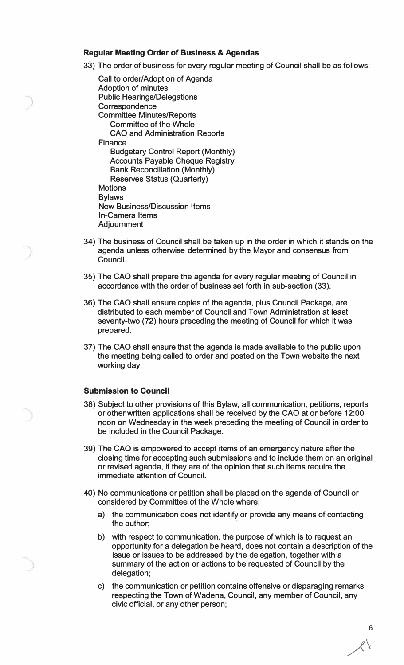### **Regular Meeting Order of Business & Agendas**

33) The order of business for every regular meeting of Council shall be as follows:

- Call to order/Adoption of Agenda Adoption of minutes Public Hearings/Delegations **Correspondence** Committee Minutes/Reports Committee of the Whole CAO and Administration Reports **Finance** Budgetary Control Report (Monthly) Accounts Payable Cheque Registry Bank Reconciliation (Monthly) Reserves Status (Quarterly) **Motions** Bylaws New Business/Discussion Items In-Camera Items Adjournment
- 34) The business of Council shall be taken up in the order in which it stands on the agenda unless otherwise determined by the Mayor and consensus from Council.
- 35) The CAO shall prepare the agenda for every regular meeting of Council in accordance with the order of business set forth in sub-section (33).
- 36) The CAO shall ensure copies of the agenda, plus Council Package, are distributed to each member of Council and Town Administration at least seventy-two (72) hours preceding the meeting of Council for which it was prepared.
- 37) The CAO shall ensure that the agenda is made available to the public upon the meeting being called to order and posted on the Town website the next working day.

### **Submission to Council**

- 38) Subject to other provisions of this Bylaw, all communication, petitions, reports or other written applications shall be received by the CAO at or before 12:00 noon on Wednesday in the week preceding the meeting of Council in order to be included in the Council Package.
- 39) The CAO is empowered to accept items of an emergency nature after the closing time for accepting such submissions and to include them on an original or revised agenda, if they are of the opinion that such items require the immediate attention of Council.
- 40) No communications or petition shall be placed on the agenda of Council or considered by Committee of the Whole where:
	- a) the communication does not identify or provide any means of contacting the author;
	- b) with respect to communication, the purpose of which is to request an opportunity for a delegation be heard, does not contain a description of the issue or issues to be addressed by the delegation, together with a summary of the action or actions to be requested of Council by the delegation;
	- c) the communication or petition contains offensive or disparaging remarks respecting the Town of Wadena, Council, any member of Council, any civic official, or any other person;

6  $\lambda$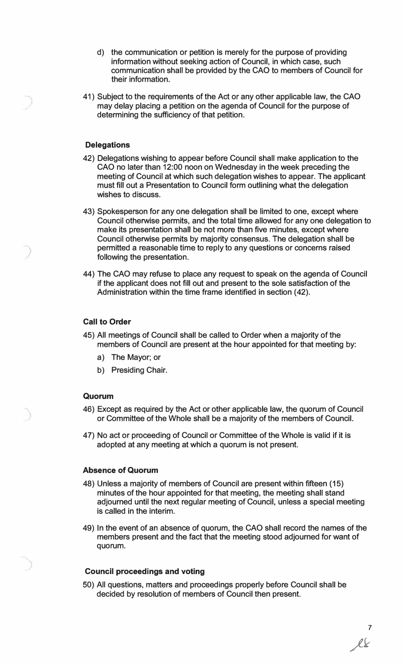- d) the communication or petition is merely for the purpose of providing information without seeking action of Council, in which case, such communication shall be provided by the CAO to members of Council for their information.
- 41) Subject to the requirements of the Act or any other applicable law, the CAO may delay placing a petition on the agenda of Council for the purpose of determining the sufficiency of that petition.

### **Delegations**

- 42) Delegations wishing to appear before Council shall make application to the CAO no later than 12:00 noon on Wednesday in the week preceding the meeting of Council at which such delegation wishes to appear. The applicant must fill out a Presentation to Council form outlining what the delegation wishes to discuss.
- 43) Spokesperson for any one delegation shall be limited to one, except where Council otherwise permits, and the total time allowed for any one delegation to make its presentation shall be not more than five minutes, except where Council otherwise permits by majority consensus. The delegation shall be permitted a reasonable time to reply to any questions or concerns raised following the presentation.
- 44) The CAO may refuse to place any request to speak on the agenda of Council if the applicant does not fill out and present to the sole satisfaction of the Administration within the time frame identified in section (42).

### **Call to Order**

- 45) All meetings of Council shall be called to Order when a majority of the members of Council are present at the hour appointed for that meeting by:
	- a) The Mayor; or
	- b) Presiding Chair.

#### **Quorum**

- 46) Except as required by the Act or other applicable law, the quorum of Council or Committee of the Whole shall be a majority of the members of Council.
- 47) No act or proceeding of Council or Committee of the Whole is valid if it is adopted at any meeting at which a quorum is not present.

### **Absence of Quorum**

- 48) Unless a majority of members of Council are present within fifteen (15) minutes of the hour appointed for that meeting, the meeting shall stand adjourned until the next regular meeting of Council, unless a special meeting is called in the interim.
- 49) In the event of an absence of quorum, the CAO shall record the names of the members present and the fact that the meeting stood adjourned for want of quorum.

#### **Council proceedings and voting**

50) All questions, matters and proceedings properly before Council shall be decided by resolution of members of Council then present.

7  $l\ell$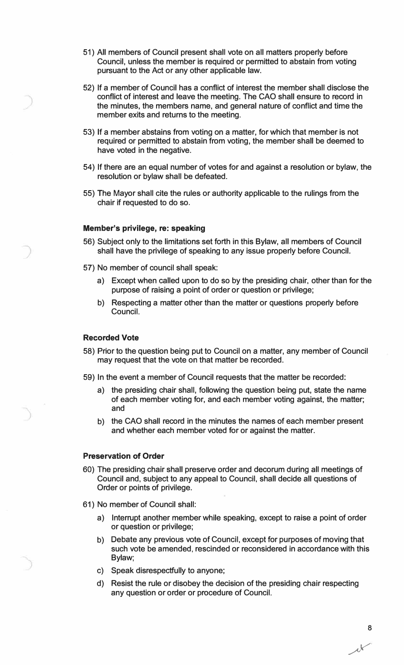- 51) All members of Council present shall vote on all matters properly before Council, unless the member is required or permitted to abstain from voting pursuant to the Act or any other applicable law.
- 52) If a member of Council has a conflict of interest the member shall disclose the conflict of interest and leave the meeting. The CAO shall ensure to record in the minutes, the members name, and general nature of conflict and time the member exits and returns to the meeting.
- 53) If a member abstains from voting on a matter, for which that member is not required or permitted to abstain from voting, the member shall be deemed to have voted in the negative.
- 54) If there are an equal number of votes for and against a resolution or bylaw, the resolution or bylaw shall be defeated.
- 55) The Mayor shall cite the rules or authority applicable to the rulings from the chair if requested to do so.

### **Member's privilege, re: speaking**

- 56) Subject only to the limitations set forth in this Bylaw, all members of Council shall have the privilege of speaking to any issue properly before Council.
- 57) No member of council shall speak:
	- a) Except when called upon to do so by the presiding chair, other than for the purpose of raising a point of order or question or privilege;
	- b) Respecting a matter other than the matter or questions properly before Council.

### **Recorded Vote**

- 58) Prior to the question being put to Council on a matter, any member of Council may request that the vote on that matter be recorded.
- 59) In the event a member of Council requests that the matter be recorded:
	- a) the presiding chair shall, following the question being put, state the name of each member voting for, and each member voting against, the matter; and
	- b) the CAO shall record in the minutes the names of each member present and whether each member voted for or against the matter.

#### **Preservation of Order**

- 60) The presiding chair shall preserve order and decorum during all meetings of Council and, subject to any appeal to Council, shall decide all questions of Order or points of privilege.
- 61) No member of Council shall:
	- a) Interrupt another member while speaking, except to raise a point of order or question or privilege;
	- b) Debate any previous vote of Council, except for purposes of moving that such vote be amended, rescinded or reconsidered in accordance with this Bylaw;
	- c) Speak disrespectfully to anyone;
	- d) Resist the rule or disobey the decision of the presiding chair respecting any question or order or procedure of Council.

**8**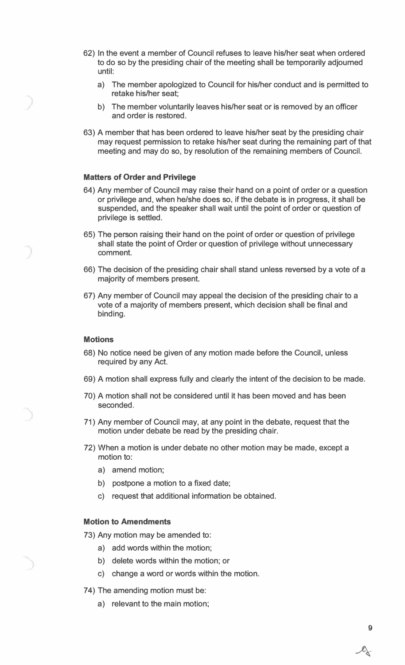- 62) In the event a member of Council refuses to leave his/her seat when ordered to do so by the presiding chair of the meeting·shall be temporarily adjourned until:
	- a) The member apologized to Council for his/her conduct and is permitted to retake his/her seat;
	- b) The member voluntarily leaves his/her seat or is removed by an officer and order is restored.
- 63) A member that has been ordered to leave his/her seat by the presiding chair may request permission to retake his/her seat during the remaining part of that meeting and may do so, by resolution of the remaining members of Council.

### **Matters of Order and Privilege**

- 64) Any member of Council may raise their hand on a point of order or a question or privilege and, when he/she does so, if the debate is in progress, it shall be suspended., and the speaker shall wait until the point of order or question of privilege is settled.
- 65) The person raising their hand on the point of order or question of privilege shall state the point of Order or question of privilege without unnecessary comment.
- 66) The decision of the presiding chair shall stand unless reversed by a vote of a majority of members present.
- 67) Any member of Council may appeal the decision of the presiding chair to a vote of a majority of members present, which decision shall be final and binding.

### **Motions**

- 68) No notice need be given of any motion made before the Council, unless required by any Act.
- 69) A motion shall express fully and clearly the intent of the decision to be made.
- 70) A motion shall not be considered until it has been moved and has been seconded.
- 71) Any member of Council may, at any point in the debate, request that the motion under debate be read by the presiding chair.
- 72) When a motion is under debate no other motion may be made, except a motion to:
	- a) amend motion;
	- b) postpone a motion to a fixed date;
	- c) request that additional information be obtained.

### **Motion to Amendments**

73) Any motion may be amended to:

- a) add words within the motion;
- b) delete words within the motion; or
- c) change a word or words within the motion.
- 74) The amending motion must be:
	- a) relevant to the main motion;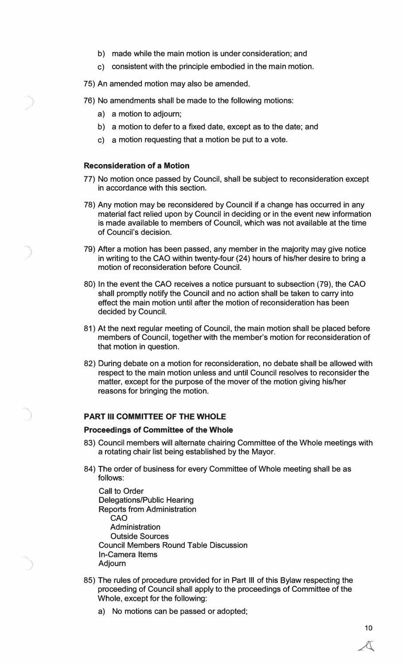- b) made while the main motion is under consideration; and
- c) consistent with the principle embodied in the main motion.
- 75) An amended motion may also be amended.
- 76) No amendments shall be made to the following motions:
	- a) a motion to adjourn;
	- b) a motion to defer to a fixed date, except as to the date; and
	- c) a motion requesting that a motion be put to a vote.

### **Reconsideration of a Motion**

- 77) No motion once passed by Council, shall be subject to reconsideration except in accordance with this section.
- 78) Any motion may be reconsidered by Council if a change has occurred in any material fact relied upon by Council in deciding or in the event new information is made available to members of Council, which was not available at the time of Council's decision.
- 79) After a motion has been passed, any member in the majority may give notice in writing to the CAO within twenty-four (24) hours of his/her desire to bring a motion of reconsideration before Council.
- 80) In the event the CAO receives a notice pursuant to subsection (79), the CAO shall promptly notify the Council and no action shall be taken to carry into effect the main motion until after the motion of reconsideration has been decided by Council.
- 81) At the next regular meeting of Council, the main motion shall be placed before members of Council, together with the member's motion for reconsideration of that motion in question.
- 82) During debate on a motion for reconsideration, no debate shall be allowed with respect to the main motion unless and until Council resolves to reconsider the matter, except for the purpose of the mover of the motion giving his/her reasons for bringing the motion.

### **PART Ill COMMITTEE OF THE WHOLE**

#### **Proceedings of Committee of the Whole**

- 83) Council members will alternate chairing Committee of the Whole meetings with a rotating chair list being established by the Mayor.
- 84) The order of business for every Committee of Whole meeting shall be as follows:

Call to Order Delegations/Public Hearing Reports from Administration **CAO**  Administration Outside Sources Council Members Round Table Discussion In-Camera Items Adjourn

- 85) The rules of procedure provided for in Part Ill of this Bylaw respecting the proceeding of Council shall apply to the proceedings of Committee of the Whole, except for the following:
	- a) No motions can be passed or adopted;

**10**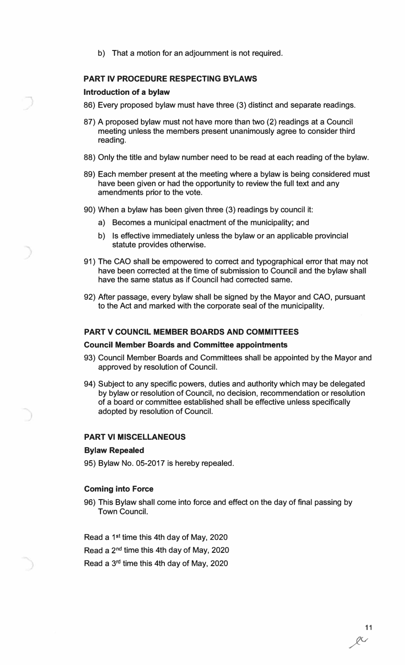b) That a motion for an adjournment is not required.

### **PART IV PROCEDURE RESPECTING BYLAWS**

### **Introduction of a bylaw**

- 86) Every proposed bylaw must have three (3) distinct and separate readings.
- 87) A proposed bylaw must not have more than two (2) readings at a Council meeting unless the members present unanimously agree to consider third reading.
- 88) Only the title and bylaw number need to be read at each reading of the bylaw.
- 89) Each member present at the meeting where a bylaw is being considered must have been given or had the opportunity to review the full text and any amendments prior to the vote.
- 90) When a bylaw has been given three (3) readings by council it:
	- a) Becomes a municipal enactment of the municipality; and
	- b) Is effective immediately unless the bylaw or an applicable provincial statute provides otherwise.
- 91) The CAO shall be empowered to correct and typographical error that may not have been corrected at the time of submission to Council and the bylaw shall have the same status as if Council had corrected same.
- 92) After passage, every bylaw shall be signed by the Mayor and CAO, pursuant to the Act and marked with the corporate seal of the municipality.

### **PART V COUNCIL MEMBER BOARDS AND COMMITTEES**

### **Council Member Boards and Committee appointments**

- 93) Council Member Boards and Committees shall be appointed by the Mayor and approved by resolution of Council.
- 94) Subject to any specific powers, duties and authority which may be delegated by bylaw or resolution of Council, no decision, recommendation or resolution of a board or committee established shall be effective unless specifically adopted by resolution of Council.

### **PART VI MISCELLANEOUS**

#### **Bylaw Repealed**

95) Bylaw No. 05-2017 is hereby repealed.

#### **Coming into Force**

96) This Bylaw shall come into force and effect on the day of final passing by Town Council.

Read a 1**st** time this 4th day of May, 2020 Read a 2**nd** time this 4th day of May, 2020 Read a 3rd time this 4th day of May, 2020

> 11 */v*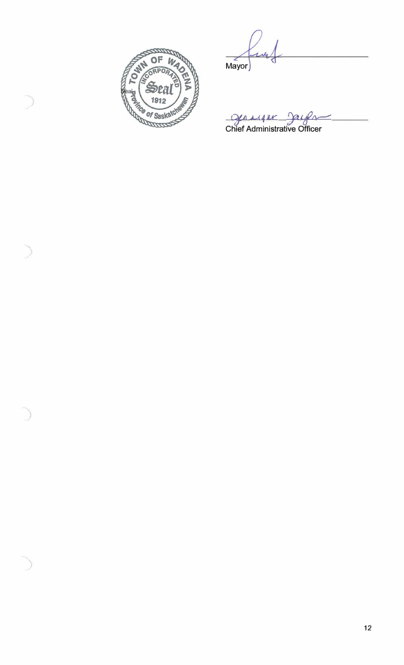

Mayor

**gauge Bauge**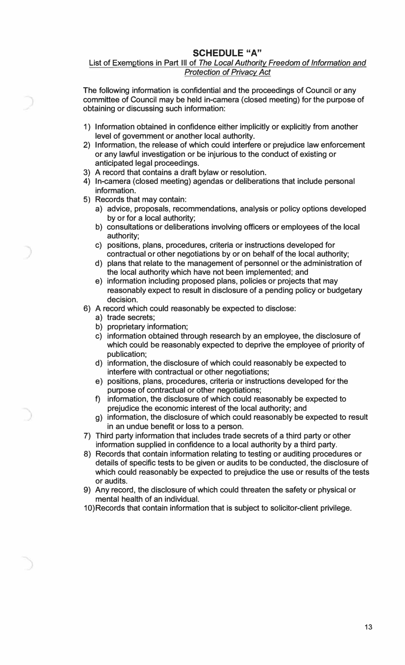# **SCHEDULE "A"**

### List of Exemptions in Part Ill of *The Local Authority Freedom of Information and Protection of Privacy Act*

The following information is confidential and the proceedings of Council or any committee of Council may be held in-camera (closed meeting) for the purpose of obtaining or discussing such information:

- 1) Information obtained in confidence either implicitly or explicitly from another level of government or another local authority.
- 2) Information, the release of which could interfere or prejudice law enforcement or any lawful investigation or be injurious to the conduct of existing or anticipated legal proceedings.
- 3) A record that contains a draft bylaw or resolution.
- 4) In-camera (closed meeting) agendas or deliberations that include personal information.
- 5) Records that may contain:
	- a) advice, proposals, recommendations, analysis or policy options developed by or for a local authority;
	- b) consultations or deliberations involving officers or employees of the local authority;
	- c) positions, plans, procedures, criteria or instructions developed for contractual or other negotiations by or on behalf of the local authority;
	- d) plans that relate to the management of personnel or the administration of the local authority which have not been implemented; and
	- e) information including proposed plans, policies or projects that may reasonably expect to result in disclosure of a pending policy or budgetary decision.
- 6) A record which could reasonably be expected to disclose:
	- a) trade secrets;
	- b) proprietary information;
	- c) information obtained through research by an employee, the disclosure of which could be reasonably expected to deprive the employee of priority of publication;
	- d) information, the disclosure of which could reasonably be expected to interfere with contractual or other negotiations;
	- e) positions, plans, procedures, criteria or instructions developed for the purpose of contractual or other negotiations;
	- f) information, the disclosure of which could reasonably be expected to prejudice the economic interest of the local authority; and
	- g) information, the disclosure of which could reasonably be expected to result in an undue benefit or loss to a person.
- 7) Third party information that includes trade secrets of a third party or other information supplied in confidence to a local authority by a third party.
- 8) Records that contain information relating to testing or auditing procedures or details of specific tests to be given or audits to be conducted, the disclosure of which could reasonably be expected to prejudice the use or results of the tests or audits.
- 9) Any record, the disclosure of which could threaten the safety or physical or mental health of an individual.
- 10) Records that contain information that is subject to solicitor-client privilege.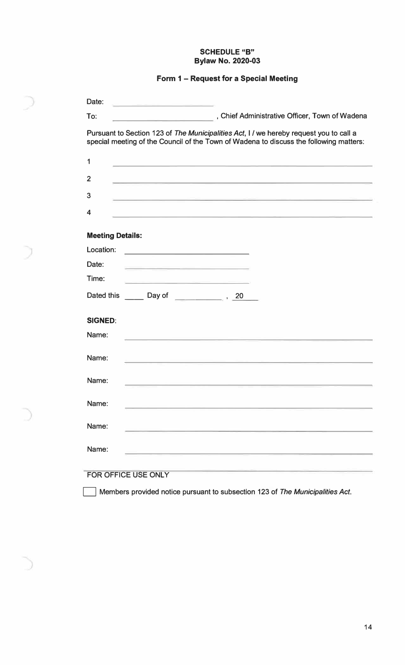### **SCHEDULE "B" Bylaw No. 2020-03**

# **Form 1 - Request for a Special Meeting**

| Date:                   |                                                                                                                                                                                  |  |
|-------------------------|----------------------------------------------------------------------------------------------------------------------------------------------------------------------------------|--|
| To:                     | , Chief Administrative Officer, Town of Wadena<br>the company of the company of the company of the company of the company of the company of the company of the company           |  |
|                         | Pursuant to Section 123 of The Municipalities Act, I / we hereby request you to call a<br>special meeting of the Council of the Town of Wadena to discuss the following matters: |  |
| 1                       | the contract of the contract of the contract of the contract of the contract of the contract of the contract of                                                                  |  |
| $\overline{2}$          |                                                                                                                                                                                  |  |
| 3                       |                                                                                                                                                                                  |  |
| 4                       |                                                                                                                                                                                  |  |
| <b>Meeting Details:</b> |                                                                                                                                                                                  |  |
| Location:               | <u> 1989 - Johann John Stone, mars et al. (</u>                                                                                                                                  |  |
| Date:                   |                                                                                                                                                                                  |  |
| Time:                   | <u> 1980 - Antonio Alemania, presidente de la contenta de la contenta de la contenta de la contenta de la content</u>                                                            |  |
|                         |                                                                                                                                                                                  |  |
| <b>SIGNED:</b>          |                                                                                                                                                                                  |  |
| Name:                   |                                                                                                                                                                                  |  |
| Name:                   | the contract of the contract of the contract of the contract of the contract of                                                                                                  |  |
| Name:                   | the contract of the contract of the contract of the contract of the contract of the contract of                                                                                  |  |
| Name:                   |                                                                                                                                                                                  |  |
| Name:                   |                                                                                                                                                                                  |  |
| Name:                   |                                                                                                                                                                                  |  |
| FOR OFFICE USE ONLY     |                                                                                                                                                                                  |  |

D Members provided notice pursuant to subsection 123 of *The Municipalities Act.*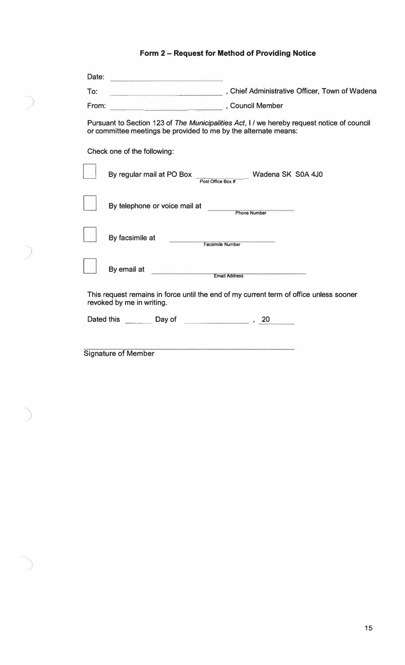# **Form 2 - Request for Method of Providing Notice**

D

| Date:<br><u> De Santa Carlos de Santa Carlos de Santa Carlos de Santa Carlos de Santa Carlos de Santa Carlos de Santa Carlos de Santa Carlos de Santa Carlos de Santa Carlos de Santa Carlos de Santa Carlos de Santa Carlos de Santa Car</u> |                                                                                            |
|-----------------------------------------------------------------------------------------------------------------------------------------------------------------------------------------------------------------------------------------------|--------------------------------------------------------------------------------------------|
| To:                                                                                                                                                                                                                                           | Chief Administrative Officer, Town of Wadena                                               |
| council Member<br>From:                                                                                                                                                                                                                       |                                                                                            |
| or committee meetings be provided to me by the alternate means:                                                                                                                                                                               | Pursuant to Section 123 of The Municipalities Act, I / we hereby request notice of council |
| Check one of the following:                                                                                                                                                                                                                   |                                                                                            |
| By regular mail at PO Box                                                                                                                                                                                                                     | Wadena SK S0A 4J0<br>Post Office Box #                                                     |
| By telephone or voice mail at                                                                                                                                                                                                                 | <b>Phone Number</b>                                                                        |
| By facsimile at                                                                                                                                                                                                                               | Facsimile Number                                                                           |
| By email at <u>examed and Email Address</u>                                                                                                                                                                                                   |                                                                                            |
| revoked by me in writing.                                                                                                                                                                                                                     | This request remains in force until the end of my current term of office unless sooner     |
| Dated this example and Day of the contract of the contract of the contract of the contract of the Day of                                                                                                                                      |                                                                                            |
|                                                                                                                                                                                                                                               |                                                                                            |
| <b>Signature of Member</b>                                                                                                                                                                                                                    |                                                                                            |